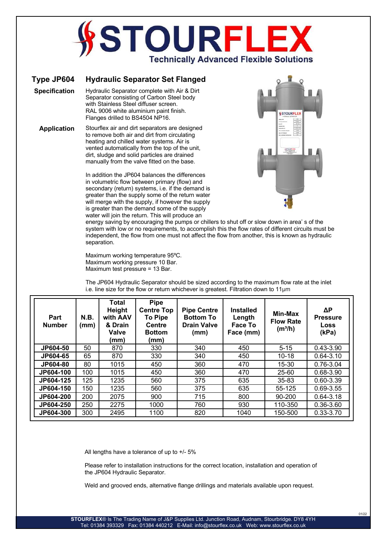## **TOURFI Technically Advanced Flexible Solutions**

## **Type JP604 Hydraulic Separator Set Flanged**

**Specification** Hydraulic Separator complete with Air & Dirt Separator consisting of Carbon Steel body with Stainless Steel diffuser screen. RAL 9006 white aluminium paint finish. Flanges drilled to BS4504 NP16.

**Application** Stourflex air and dirt separators are designed to remove both air and dirt from circulating heating and chilled water systems. Air is vented automatically from the top of the unit, dirt, sludge and solid particles are drained manually from the valve fitted on the base.

> In addition the JP604 balances the differences in volumetric flow between primary (flow) and secondary (return) systems, i.e. if the demand is greater than the supply some of the return water will merge with the supply, if however the supply is greater than the demand some of the supply water will join the return. This will produce an



01/22

energy saving by encouraging the pumps or chillers to shut off or slow down in area' s of the system with low or no requirements, to accomplish this the flow rates of different circuits must be independent, the flow from one must not affect the flow from another, this is known as hydraulic separation.

Maximum working temperature 95ºC. Maximum working pressure 10 Bar. Maximum test pressure = 13 Bar.

The JP604 Hydraulic Separator should be sized according to the maximum flow rate at the inlet i.e. line size for the flow or return whichever is greatest. Filtration down to 11μm

| Part<br><b>Number</b> | <b>N.B.</b><br>(mm) | Total<br>Height<br>with AAV<br>& Drain<br><b>Valve</b><br>(mm) | Pipe<br><b>Centre Top</b><br><b>To Pipe</b><br><b>Centre</b><br><b>Bottom</b><br>(mm) | <b>Pipe Centre</b><br><b>Bottom To</b><br><b>Drain Valve</b><br>(mm) | <b>Installed</b><br>Length<br>Face To<br>Face (mm) | Min-Max<br><b>Flow Rate</b><br>(m <sup>3</sup> /h) | ΔΡ<br><b>Pressure</b><br>Loss<br>(kPa) |
|-----------------------|---------------------|----------------------------------------------------------------|---------------------------------------------------------------------------------------|----------------------------------------------------------------------|----------------------------------------------------|----------------------------------------------------|----------------------------------------|
| JP604-50              | 50                  | 870                                                            | 330                                                                                   | 340                                                                  | 450                                                | $5 - 15$                                           | $0.43 - 3.90$                          |
| JP604-65              | 65                  | 870                                                            | 330                                                                                   | 340                                                                  | 450                                                | $10 - 18$                                          | $0.64 - 3.10$                          |
| JP604-80              | 80                  | 1015                                                           | 450                                                                                   | 360                                                                  | 470                                                | 15-30                                              | 0.76-3.04                              |
| JP604-100             | 100                 | 1015                                                           | 450                                                                                   | 360                                                                  | 470                                                | 25-60                                              | 0.68-3.90                              |
| JP604-125             | 125                 | 1235                                                           | 560                                                                                   | 375                                                                  | 635                                                | $35 - 83$                                          | $0.60 - 3.39$                          |
| JP604-150             | 150                 | 1235                                                           | 560                                                                                   | 375                                                                  | 635                                                | 55-125                                             | $0.69 - 3.55$                          |
| JP604-200             | 200                 | 2075                                                           | 900                                                                                   | 715                                                                  | 800                                                | 90-200                                             | $0.64 - 3.18$                          |
| JP604-250             | 250                 | 2275                                                           | 1000                                                                                  | 760                                                                  | 930                                                | 110-350                                            | 0.36-3.60                              |
| JP604-300             | 300                 | 2495                                                           | 1100                                                                                  | 820                                                                  | 1040                                               | 150-500                                            | $0.33 - 3.70$                          |

All lengths have a tolerance of up to +/- 5%

Please refer to installation instructions for the correct location, installation and operation of the JP604 Hydraulic Separator.

Weld and grooved ends, alternative flange drillings and materials available upon request.